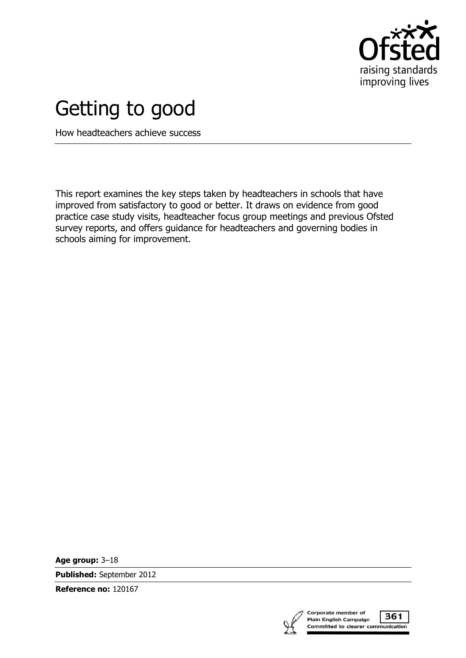

# Getting to good

How headteachers achieve success

This report examines the key steps taken by headteachers in schools that have improved from satisfactory to good or better. It draws on evidence from good practice case study visits, headteacher focus group meetings and previous Ofsted survey reports, and offers guidance for headteachers and governing bodies in schools aiming for improvement.

**Age group:** 3–18

**Published:** September 2012

**Reference no:** 120167

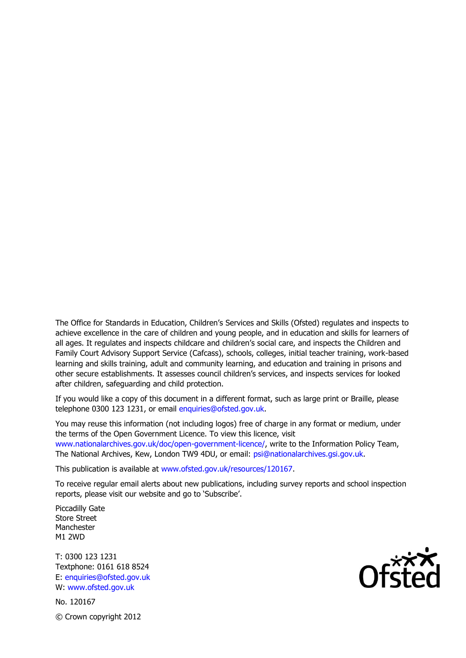The Office for Standards in Education, Children's Services and Skills (Ofsted) regulates and inspects to achieve excellence in the care of children and young people, and in education and skills for learners of all ages. It regulates and inspects childcare and children's social care, and inspects the Children and Family Court Advisory Support Service (Cafcass), schools, colleges, initial teacher training, work-based learning and skills training, adult and community learning, and education and training in prisons and other secure establishments. It assesses council children's services, and inspects services for looked after children, safeguarding and child protection.

If you would like a copy of this document in a different format, such as large print or Braille, please telephone 0300 123 1231, or email enquiries@ofsted.gov.uk.

You may reuse this information (not including logos) free of charge in any format or medium, under the terms of the Open Government Licence. To view this licence, visit www.nationalarchives.gov.uk/doc/open-government-licence/, write to the Information Policy Team, The National Archives, Kew, London TW9 4DU, or email: psi@nationalarchives.gsi.gov.uk.

This publication is available at www.ofsted.gov.uk/resources/120167.

To receive regular email alerts about new publications, including survey reports and school inspection reports, please visit our website and go to 'Subscribe'.

Piccadilly Gate Store Street Manchester M1 2WD

T: 0300 123 1231 Textphone: 0161 618 8524 E: enquiries@ofsted.gov.uk W: www.ofsted.gov.uk

No. 120167 © Crown copyright 2012

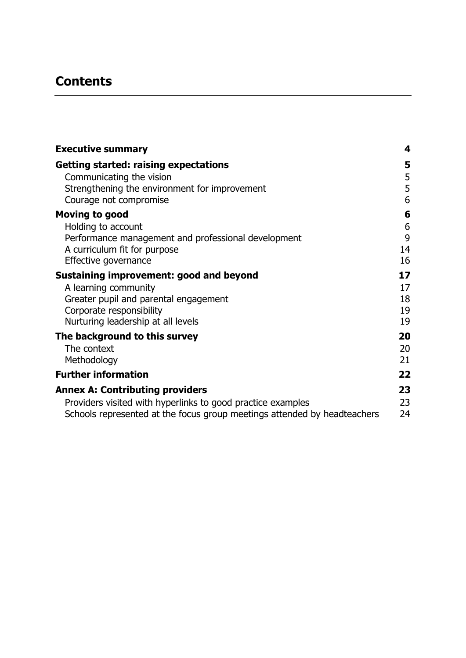# **Contents**

| <b>Executive summary</b>                                                 | 4  |
|--------------------------------------------------------------------------|----|
| <b>Getting started: raising expectations</b>                             | 5  |
| Communicating the vision                                                 | 5  |
| Strengthening the environment for improvement                            | 5  |
| Courage not compromise                                                   | 6  |
| <b>Moving to good</b>                                                    | 6  |
| Holding to account                                                       | 6  |
| Performance management and professional development                      | 9  |
| A curriculum fit for purpose                                             | 14 |
| Effective governance                                                     | 16 |
| Sustaining improvement: good and beyond                                  | 17 |
| A learning community                                                     | 17 |
| Greater pupil and parental engagement                                    | 18 |
| Corporate responsibility                                                 | 19 |
| Nurturing leadership at all levels                                       | 19 |
| The background to this survey                                            | 20 |
| The context                                                              | 20 |
| Methodology                                                              | 21 |
| <b>Further information</b>                                               | 22 |
| <b>Annex A: Contributing providers</b>                                   | 23 |
| Providers visited with hyperlinks to good practice examples              | 23 |
| Schools represented at the focus group meetings attended by headteachers | 24 |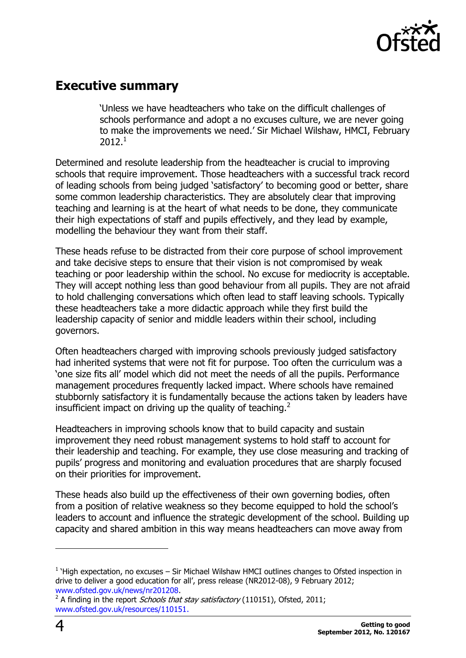

## <span id="page-3-0"></span>**Executive summary**

'Unless we have headteachers who take on the difficult challenges of schools performance and adopt a no excuses culture, we are never going to make the improvements we need.' Sir Michael Wilshaw, HMCI, February  $2012<sup>1</sup>$ 

Determined and resolute leadership from the headteacher is crucial to improving schools that require improvement. Those headteachers with a successful track record of leading schools from being judged 'satisfactory' to becoming good or better, share some common leadership characteristics. They are absolutely clear that improving teaching and learning is at the heart of what needs to be done, they communicate their high expectations of staff and pupils effectively, and they lead by example, modelling the behaviour they want from their staff.

These heads refuse to be distracted from their core purpose of school improvement and take decisive steps to ensure that their vision is not compromised by weak teaching or poor leadership within the school. No excuse for mediocrity is acceptable. They will accept nothing less than good behaviour from all pupils. They are not afraid to hold challenging conversations which often lead to staff leaving schools. Typically these headteachers take a more didactic approach while they first build the leadership capacity of senior and middle leaders within their school, including governors.

Often headteachers charged with improving schools previously judged satisfactory had inherited systems that were not fit for purpose. Too often the curriculum was a 'one size fits all' model which did not meet the needs of all the pupils. Performance management procedures frequently lacked impact. Where schools have remained stubbornly satisfactory it is fundamentally because the actions taken by leaders have insufficient impact on driving up the quality of teaching. $2$ 

Headteachers in improving schools know that to build capacity and sustain improvement they need robust management systems to hold staff to account for their leadership and teaching. For example, they use close measuring and tracking of pupils' progress and monitoring and evaluation procedures that are sharply focused on their priorities for improvement.

These heads also build up the effectiveness of their own governing bodies, often from a position of relative weakness so they become equipped to hold the school's leaders to account and influence the strategic development of the school. Building up capacity and shared ambition in this way means headteachers can move away from

 $\overline{a}$ 

 $<sup>1</sup>$  'High expectation, no excuses – Sir Michael Wilshaw HMCI outlines changes to Ofsted inspection in</sup> drive to deliver a good education for all', press release (NR2012-08), 9 February 2012; [www.ofsted.gov.uk/news/nr201208.](http://www.ofsted.gov.uk/news/nr201208)<br><sup>2</sup> A finding in the report.*Schools tha*i

A finding in the report Schools that stay satisfactory (110151), Ofsted, 2011; [www.ofsted.gov.uk/resources/110151.](http://www.ofsted.gov.uk/resources/110151)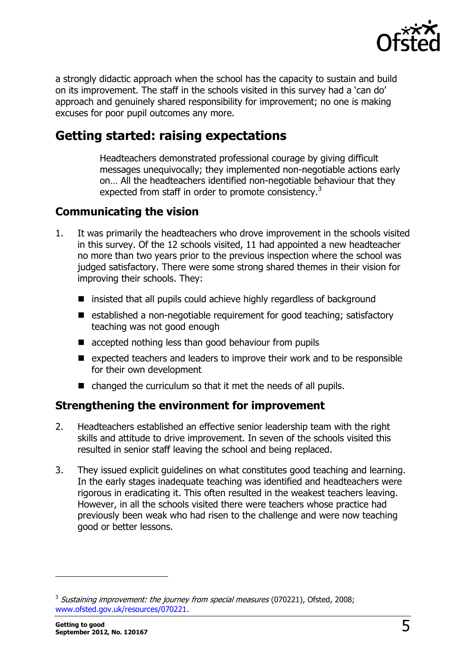

a strongly didactic approach when the school has the capacity to sustain and build on its improvement. The staff in the schools visited in this survey had a 'can do' approach and genuinely shared responsibility for improvement; no one is making excuses for poor pupil outcomes any more.

# <span id="page-4-0"></span>**Getting started: raising expectations**

Headteachers demonstrated professional courage by giving difficult messages unequivocally; they implemented non-negotiable actions early on… All the headteachers identified non-negotiable behaviour that they expected from staff in order to promote consistency.<sup>3</sup>

#### <span id="page-4-1"></span>**Communicating the vision**

- 1. It was primarily the headteachers who drove improvement in the schools visited in this survey. Of the 12 schools visited, 11 had appointed a new headteacher no more than two years prior to the previous inspection where the school was judged satisfactory. There were some strong shared themes in their vision for improving their schools. They:
	- $\blacksquare$  insisted that all pupils could achieve highly regardless of background
	- $\blacksquare$  established a non-negotiable requirement for good teaching; satisfactory teaching was not good enough
	- $\blacksquare$  accepted nothing less than good behaviour from pupils
	- $\blacksquare$  expected teachers and leaders to improve their work and to be responsible for their own development
	- changed the curriculum so that it met the needs of all pupils.

#### <span id="page-4-2"></span>**Strengthening the environment for improvement**

- 2. Headteachers established an effective senior leadership team with the right skills and attitude to drive improvement. In seven of the schools visited this resulted in senior staff leaving the school and being replaced.
- 3. They issued explicit guidelines on what constitutes good teaching and learning. In the early stages inadequate teaching was identified and headteachers were rigorous in eradicating it. This often resulted in the weakest teachers leaving. However, in all the schools visited there were teachers whose practice had previously been weak who had risen to the challenge and were now teaching good or better lessons.

<sup>&</sup>lt;sup>3</sup> Sustaining improvement: the journey from special measures (070221), Ofsted, 2008; [www.ofsted.gov.uk/resources/070221.](http://www.ofsted.gov.uk/resources/070221)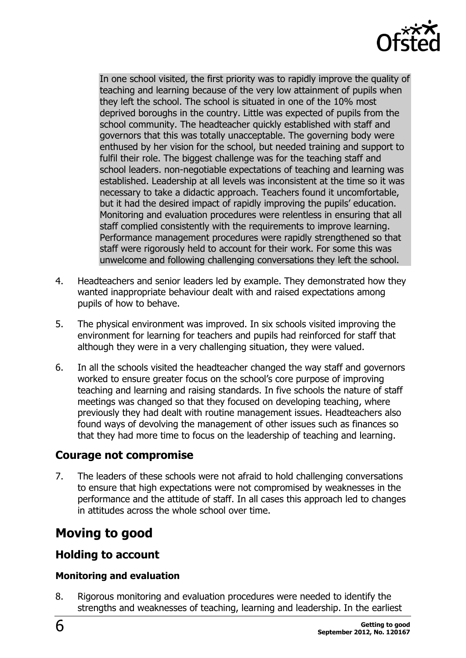

In one school visited, the first priority was to rapidly improve the quality of teaching and learning because of the very low attainment of pupils when they left the school. The school is situated in one of the 10% most deprived boroughs in the country. Little was expected of pupils from the school community. The headteacher quickly established with staff and governors that this was totally unacceptable. The governing body were enthused by her vision for the school, but needed training and support to fulfil their role. The biggest challenge was for the teaching staff and school leaders. non-negotiable expectations of teaching and learning was established. Leadership at all levels was inconsistent at the time so it was necessary to take a didactic approach. Teachers found it uncomfortable, but it had the desired impact of rapidly improving the pupils' education. Monitoring and evaluation procedures were relentless in ensuring that all staff complied consistently with the requirements to improve learning. Performance management procedures were rapidly strengthened so that staff were rigorously held to account for their work. For some this was unwelcome and following challenging conversations they left the school.

- 4. Headteachers and senior leaders led by example. They demonstrated how they wanted inappropriate behaviour dealt with and raised expectations among pupils of how to behave.
- 5. The physical environment was improved. In six schools visited improving the environment for learning for teachers and pupils had reinforced for staff that although they were in a very challenging situation, they were valued.
- 6. In all the schools visited the headteacher changed the way staff and governors worked to ensure greater focus on the school's core purpose of improving teaching and learning and raising standards. In five schools the nature of staff meetings was changed so that they focused on developing teaching, where previously they had dealt with routine management issues. Headteachers also found ways of devolving the management of other issues such as finances so that they had more time to focus on the leadership of teaching and learning.

## <span id="page-5-0"></span>**Courage not compromise**

7. The leaders of these schools were not afraid to hold challenging conversations to ensure that high expectations were not compromised by weaknesses in the performance and the attitude of staff. In all cases this approach led to changes in attitudes across the whole school over time.

# <span id="page-5-1"></span>**Moving to good**

## <span id="page-5-2"></span>**Holding to account**

#### **Monitoring and evaluation**

8. Rigorous monitoring and evaluation procedures were needed to identify the strengths and weaknesses of teaching, learning and leadership. In the earliest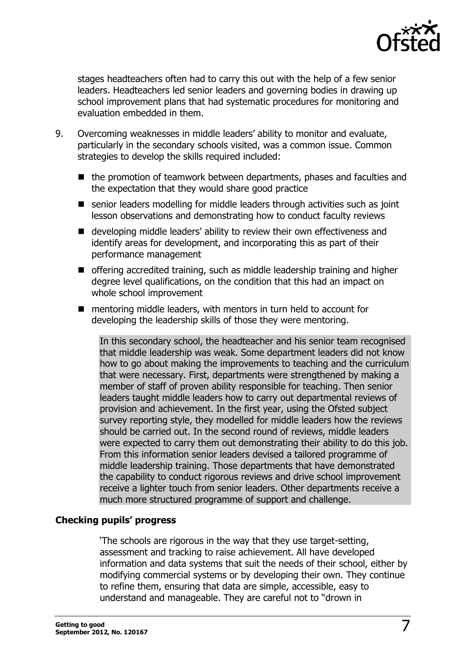

stages headteachers often had to carry this out with the help of a few senior leaders. Headteachers led senior leaders and governing bodies in drawing up school improvement plans that had systematic procedures for monitoring and evaluation embedded in them.

- 9. Overcoming weaknesses in middle leaders' ability to monitor and evaluate, particularly in the secondary schools visited, was a common issue. Common strategies to develop the skills required included:
	- the promotion of teamwork between departments, phases and faculties and the expectation that they would share good practice
	- senior leaders modelling for middle leaders through activities such as joint lesson observations and demonstrating how to conduct faculty reviews
	- developing middle leaders' ability to review their own effectiveness and identify areas for development, and incorporating this as part of their performance management
	- $\blacksquare$  offering accredited training, such as middle leadership training and higher degree level qualifications, on the condition that this had an impact on whole school improvement
	- mentoring middle leaders, with mentors in turn held to account for developing the leadership skills of those they were mentoring.

In this secondary school, the headteacher and his senior team recognised that middle leadership was weak. Some department leaders did not know how to go about making the improvements to teaching and the curriculum that were necessary. First, departments were strengthened by making a member of staff of proven ability responsible for teaching. Then senior leaders taught middle leaders how to carry out departmental reviews of provision and achievement. In the first year, using the Ofsted subject survey reporting style, they modelled for middle leaders how the reviews should be carried out. In the second round of reviews, middle leaders were expected to carry them out demonstrating their ability to do this job. From this information senior leaders devised a tailored programme of middle leadership training. Those departments that have demonstrated the capability to conduct rigorous reviews and drive school improvement receive a lighter touch from senior leaders. Other departments receive a much more structured programme of support and challenge.

#### **Checking pupils' progress**

'The schools are rigorous in the way that they use target-setting, assessment and tracking to raise achievement. All have developed information and data systems that suit the needs of their school, either by modifying commercial systems or by developing their own. They continue to refine them, ensuring that data are simple, accessible, easy to understand and manageable. They are careful not to "drown in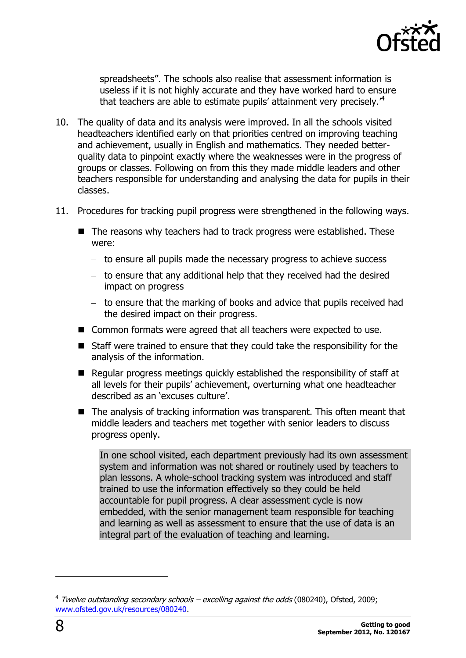

spreadsheets". The schools also realise that assessment information is useless if it is not highly accurate and they have worked hard to ensure that teachers are able to estimate pupils' attainment very precisely.<sup>4</sup>

- 10. The quality of data and its analysis were improved. In all the schools visited headteachers identified early on that priorities centred on improving teaching and achievement, usually in English and mathematics. They needed betterquality data to pinpoint exactly where the weaknesses were in the progress of groups or classes. Following on from this they made middle leaders and other teachers responsible for understanding and analysing the data for pupils in their classes.
- 11. Procedures for tracking pupil progress were strengthened in the following ways.
	- The reasons why teachers had to track progress were established. These were:
		- to ensure all pupils made the necessary progress to achieve success
		- $-$  to ensure that any additional help that they received had the desired impact on progress
		- to ensure that the marking of books and advice that pupils received had the desired impact on their progress.
	- Common formats were agreed that all teachers were expected to use.
	- Staff were trained to ensure that they could take the responsibility for the analysis of the information.
	- $\blacksquare$  Regular progress meetings quickly established the responsibility of staff at all levels for their pupils' achievement, overturning what one headteacher described as an 'excuses culture'.
	- The analysis of tracking information was transparent. This often meant that middle leaders and teachers met together with senior leaders to discuss progress openly.

In one school visited, each department previously had its own assessment system and information was not shared or routinely used by teachers to plan lessons. A whole-school tracking system was introduced and staff trained to use the information effectively so they could be held accountable for pupil progress. A clear assessment cycle is now embedded, with the senior management team responsible for teaching and learning as well as assessment to ensure that the use of data is an integral part of the evaluation of teaching and learning.

<sup>&</sup>lt;sup>4</sup> Twelve outstanding secondary schools – excelling against the odds (080240), Ofsted, 2009; [www.ofsted.gov.uk/resources/080240.](http://www.ofsted.gov.uk/resources/080240)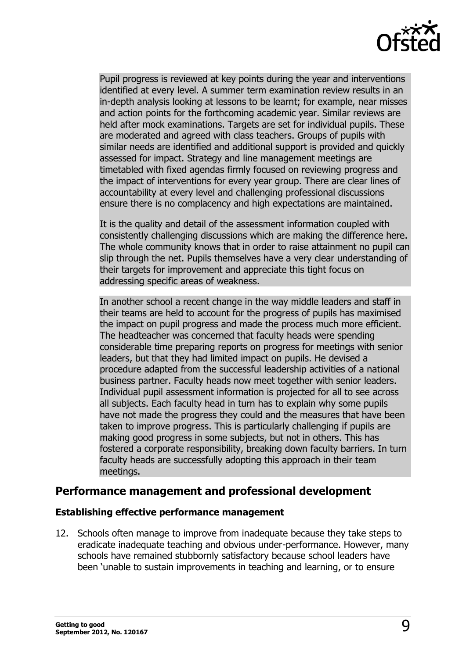

Pupil progress is reviewed at key points during the year and interventions identified at every level. A summer term examination review results in an in-depth analysis looking at lessons to be learnt; for example, near misses and action points for the forthcoming academic year. Similar reviews are held after mock examinations. Targets are set for individual pupils. These are moderated and agreed with class teachers. Groups of pupils with similar needs are identified and additional support is provided and quickly assessed for impact. Strategy and line management meetings are timetabled with fixed agendas firmly focused on reviewing progress and the impact of interventions for every year group. There are clear lines of accountability at every level and challenging professional discussions ensure there is no complacency and high expectations are maintained.

It is the quality and detail of the assessment information coupled with consistently challenging discussions which are making the difference here. The whole community knows that in order to raise attainment no pupil can slip through the net. Pupils themselves have a very clear understanding of their targets for improvement and appreciate this tight focus on addressing specific areas of weakness.

In another school a recent change in the way middle leaders and staff in their teams are held to account for the progress of pupils has maximised the impact on pupil progress and made the process much more efficient. The headteacher was concerned that faculty heads were spending considerable time preparing reports on progress for meetings with senior leaders, but that they had limited impact on pupils. He devised a procedure adapted from the successful leadership activities of a national business partner. Faculty heads now meet together with senior leaders. Individual pupil assessment information is projected for all to see across all subjects. Each faculty head in turn has to explain why some pupils have not made the progress they could and the measures that have been taken to improve progress. This is particularly challenging if pupils are making good progress in some subjects, but not in others. This has fostered a corporate responsibility, breaking down faculty barriers. In turn faculty heads are successfully adopting this approach in their team meetings.

#### <span id="page-8-0"></span>**Performance management and professional development**

#### **Establishing effective performance management**

12. Schools often manage to improve from inadequate because they take steps to eradicate inadequate teaching and obvious under-performance. However, many schools have remained stubbornly satisfactory because school leaders have been 'unable to sustain improvements in teaching and learning, or to ensure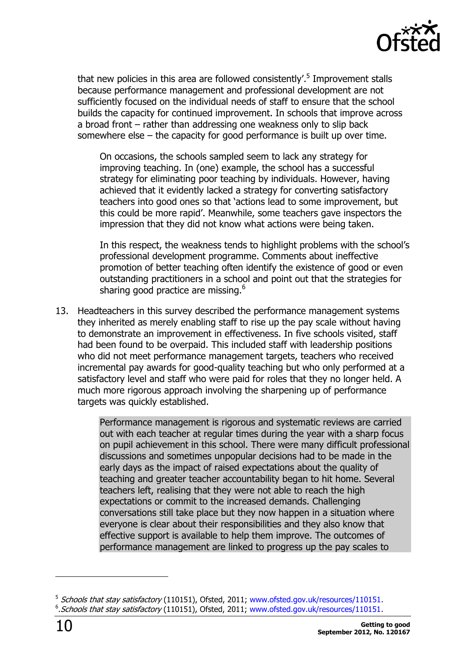

that new policies in this area are followed consistently'.<sup>5</sup> Improvement stalls because performance management and professional development are not sufficiently focused on the individual needs of staff to ensure that the school builds the capacity for continued improvement. In schools that improve across a broad front – rather than addressing one weakness only to slip back somewhere else – the capacity for good performance is built up over time.

On occasions, the schools sampled seem to lack any strategy for improving teaching. In (one) example, the school has a successful strategy for eliminating poor teaching by individuals. However, having achieved that it evidently lacked a strategy for converting satisfactory teachers into good ones so that 'actions lead to some improvement, but this could be more rapid'. Meanwhile, some teachers gave inspectors the impression that they did not know what actions were being taken.

In this respect, the weakness tends to highlight problems with the school's professional development programme. Comments about ineffective promotion of better teaching often identify the existence of good or even outstanding practitioners in a school and point out that the strategies for sharing good practice are missing.<sup>6</sup>

13. Headteachers in this survey described the performance management systems they inherited as merely enabling staff to rise up the pay scale without having to demonstrate an improvement in effectiveness. In five schools visited, staff had been found to be overpaid. This included staff with leadership positions who did not meet performance management targets, teachers who received incremental pay awards for good-quality teaching but who only performed at a satisfactory level and staff who were paid for roles that they no longer held. A much more rigorous approach involving the sharpening up of performance targets was quickly established.

> Performance management is rigorous and systematic reviews are carried out with each teacher at regular times during the year with a sharp focus on pupil achievement in this school. There were many difficult professional discussions and sometimes unpopular decisions had to be made in the early days as the impact of raised expectations about the quality of teaching and greater teacher accountability began to hit home. Several teachers left, realising that they were not able to reach the high expectations or commit to the increased demands. Challenging conversations still take place but they now happen in a situation where everyone is clear about their responsibilities and they also know that effective support is available to help them improve. The outcomes of performance management are linked to progress up the pay scales to

<sup>&</sup>lt;sup>5</sup> Schools that stay satisfactory (110151), Ofsted, 2011; [www.ofsted.gov.uk/resources/110151.](http://www.ofsted.gov.uk/resources/110151) <sup>6</sup>. Schools that stay satisfactory (110151), Ofsted, 2011; [www.ofsted.gov.uk/resources/110151.](http://www.ofsted.gov.uk/resources/110151)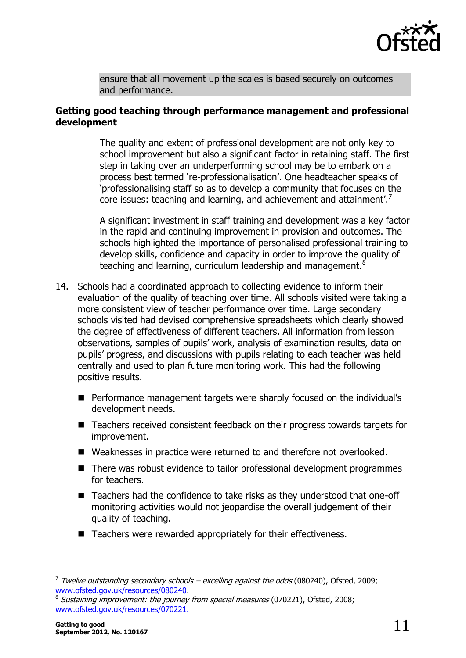

ensure that all movement up the scales is based securely on outcomes and performance.

#### **Getting good teaching through performance management and professional development**

The quality and extent of professional development are not only key to school improvement but also a significant factor in retaining staff. The first step in taking over an underperforming school may be to embark on a process best termed 're-professionalisation'. One headteacher speaks of 'professionalising staff so as to develop a community that focuses on the core issues: teaching and learning, and achievement and attainment'.<sup>7</sup>

A significant investment in staff training and development was a key factor in the rapid and continuing improvement in provision and outcomes. The schools highlighted the importance of personalised professional training to develop skills, confidence and capacity in order to improve the quality of teaching and learning, curriculum leadership and management.<sup>8</sup>

- 14. Schools had a coordinated approach to collecting evidence to inform their evaluation of the quality of teaching over time. All schools visited were taking a more consistent view of teacher performance over time. Large secondary schools visited had devised comprehensive spreadsheets which clearly showed the degree of effectiveness of different teachers. All information from lesson observations, samples of pupils' work, analysis of examination results, data on pupils' progress, and discussions with pupils relating to each teacher was held centrally and used to plan future monitoring work. This had the following positive results.
	- Performance management targets were sharply focused on the individual's development needs.
	- Teachers received consistent feedback on their progress towards targets for improvement.
	- Weaknesses in practice were returned to and therefore not overlooked.
	- There was robust evidence to tailor professional development programmes for teachers.
	- Teachers had the confidence to take risks as they understood that one-off monitoring activities would not jeopardise the overall judgement of their quality of teaching.
	- Teachers were rewarded appropriately for their effectiveness.

-

 $^7$  Twelve outstanding secondary schools – excelling against the odds (080240), Ofsted, 2009; [www.ofsted.gov.uk/resources/080240.](http://www.ofsted.gov.uk/resources/080240)

<sup>8</sup> Sustaining improvement: the journey from special measures (070221), Ofsted, 2008; [www.ofsted.gov.uk/resources/070221.](http://www.ofsted.gov.uk/resources/070221)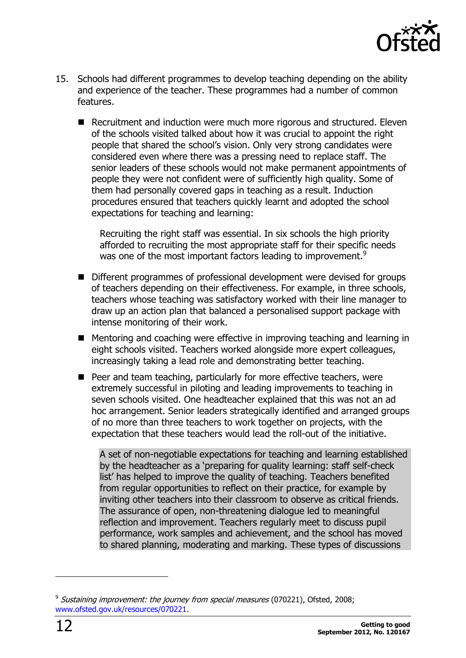

- 15. Schools had different programmes to develop teaching depending on the ability and experience of the teacher. These programmes had a number of common features.
	- Recruitment and induction were much more rigorous and structured. Eleven of the schools visited talked about how it was crucial to appoint the right people that shared the school's vision. Only very strong candidates were considered even where there was a pressing need to replace staff. The senior leaders of these schools would not make permanent appointments of people they were not confident were of sufficiently high quality. Some of them had personally covered gaps in teaching as a result. Induction procedures ensured that teachers quickly learnt and adopted the school expectations for teaching and learning:

Recruiting the right staff was essential. In six schools the high priority afforded to recruiting the most appropriate staff for their specific needs was one of the most important factors leading to improvement.<sup>9</sup>

- Different programmes of professional development were devised for groups of teachers depending on their effectiveness. For example, in three schools, teachers whose teaching was satisfactory worked with their line manager to draw up an action plan that balanced a personalised support package with intense monitoring of their work.
- Mentoring and coaching were effective in improving teaching and learning in eight schools visited. Teachers worked alongside more expert colleagues, increasingly taking a lead role and demonstrating better teaching.
- Peer and team teaching, particularly for more effective teachers, were extremely successful in piloting and leading improvements to teaching in seven schools visited. One headteacher explained that this was not an ad hoc arrangement. Senior leaders strategically identified and arranged groups of no more than three teachers to work together on projects, with the expectation that these teachers would lead the roll-out of the initiative.

A set of non-negotiable expectations for teaching and learning established by the headteacher as a 'preparing for quality learning: staff self-check list' has helped to improve the quality of teaching. Teachers benefited from regular opportunities to reflect on their practice, for example by inviting other teachers into their classroom to observe as critical friends. The assurance of open, non-threatening dialogue led to meaningful reflection and improvement. Teachers regularly meet to discuss pupil performance, work samples and achievement, and the school has moved to shared planning, moderating and marking. These types of discussions

<sup>&</sup>lt;sup>9</sup> Sustaining improvement: the journey from special measures (070221), Ofsted, 2008; [www.ofsted.gov.uk/resources/070221.](http://www.ofsted.gov.uk/resources/070221)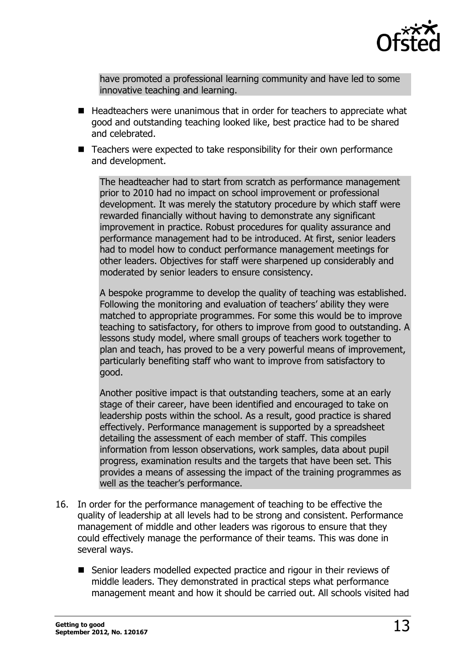

have promoted a professional [learning community](http://www.e3smallschools.org/lc.html) and have led to some innovative teaching and learning.

- Headteachers were unanimous that in order for teachers to appreciate what good and outstanding teaching looked like, best practice had to be shared and celebrated.
- Teachers were expected to take responsibility for their own performance and development.

The headteacher had to start from scratch as performance management prior to 2010 had no impact on school improvement or professional development. It was merely the statutory procedure by which staff were rewarded financially without having to demonstrate any significant improvement in practice. Robust procedures for quality assurance and performance management had to be introduced. At first, senior leaders had to model how to conduct performance management meetings for other leaders. Objectives for staff were sharpened up considerably and moderated by senior leaders to ensure consistency.

A bespoke programme to develop the quality of teaching was established. Following the monitoring and evaluation of teachers' ability they were matched to appropriate programmes. For some this would be to improve teaching to satisfactory, for others to improve from good to outstanding. A lessons study model, where small groups of teachers work together to plan and teach, has proved to be a very powerful means of improvement, particularly benefiting staff who want to improve from satisfactory to good.

Another positive impact is that outstanding teachers, some at an early stage of their career, have been identified and encouraged to take on leadership posts within the school. As a result, good practice is shared effectively. Performance management is supported by a spreadsheet detailing the assessment of each member of staff. This compiles information from lesson observations, work samples, data about pupil progress, examination results and the targets that have been set. This provides a means of assessing the impact of the training programmes as well as the teacher's performance.

- 16. In order for the performance management of teaching to be effective the quality of leadership at all levels had to be strong and consistent. Performance management of middle and other leaders was rigorous to ensure that they could effectively manage the performance of their teams. This was done in several ways.
	- Senior leaders modelled expected practice and rigour in their reviews of middle leaders. They demonstrated in practical steps what performance management meant and how it should be carried out. All schools visited had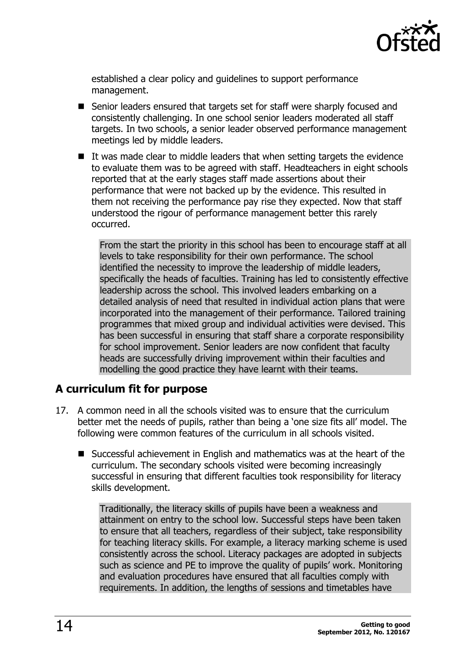

established a clear policy and guidelines to support performance management.

- Senior leaders ensured that targets set for staff were sharply focused and consistently challenging. In one school senior leaders moderated all staff targets. In two schools, a senior leader observed performance management meetings led by middle leaders.
- $\blacksquare$  It was made clear to middle leaders that when setting targets the evidence to evaluate them was to be agreed with staff. Headteachers in eight schools reported that at the early stages staff made assertions about their performance that were not backed up by the evidence. This resulted in them not receiving the performance pay rise they expected. Now that staff understood the rigour of performance management better this rarely occurred.

From the start the priority in this school has been to encourage staff at all levels to take responsibility for their own performance. The school identified the necessity to improve the leadership of middle leaders, specifically the heads of faculties. Training has led to consistently effective leadership across the school. This involved leaders embarking on a detailed analysis of need that resulted in individual action plans that were incorporated into the management of their performance. Tailored training programmes that mixed group and individual activities were devised. This has been successful in ensuring that staff share a corporate responsibility for school improvement. Senior leaders are now confident that faculty heads are successfully driving improvement within their faculties and modelling the good practice they have learnt with their teams.

#### <span id="page-13-0"></span>**A curriculum fit for purpose**

- 17. A common need in all the schools visited was to ensure that the curriculum better met the needs of pupils, rather than being a 'one size fits all' model. The following were common features of the curriculum in all schools visited.
	- Successful achievement in English and mathematics was at the heart of the curriculum. The secondary schools visited were becoming increasingly successful in ensuring that different faculties took responsibility for literacy skills development.

Traditionally, the literacy skills of pupils have been a weakness and attainment on entry to the school low. Successful steps have been taken to ensure that all teachers, regardless of their subject, take responsibility for teaching literacy skills. For example, a literacy marking scheme is used consistently across the school. Literacy packages are adopted in subjects such as science and PE to improve the quality of pupils' work. Monitoring and evaluation procedures have ensured that all faculties comply with requirements. In addition, the lengths of sessions and timetables have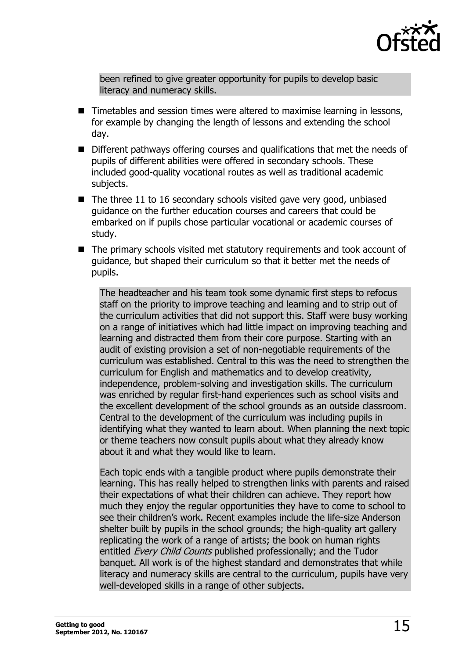

been refined to give greater opportunity for pupils to develop basic literacy and numeracy skills.

- Timetables and session times were altered to maximise learning in lessons, for example by changing the length of lessons and extending the school day.
- Different pathways offering courses and qualifications that met the needs of pupils of different abilities were offered in secondary schools. These included good-quality vocational routes as well as traditional academic subjects.
- $\blacksquare$  The three 11 to 16 secondary schools visited gave very good, unbiased guidance on the further education courses and careers that could be embarked on if pupils chose particular vocational or academic courses of study.
- The primary schools visited met statutory requirements and took account of guidance, but shaped their curriculum so that it better met the needs of pupils.

The headteacher and his team took some dynamic first steps to refocus staff on the priority to improve teaching and learning and to strip out of the curriculum activities that did not support this. Staff were busy working on a range of initiatives which had little impact on improving teaching and learning and distracted them from their core purpose. Starting with an audit of existing provision a set of non-negotiable requirements of the curriculum was established. Central to this was the need to strengthen the curriculum for English and mathematics and to develop creativity, independence, problem-solving and investigation skills. The curriculum was enriched by regular first-hand experiences such as school visits and the excellent development of the school grounds as an outside classroom. Central to the development of the curriculum was including pupils in identifying what they wanted to learn about. When planning the next topic or theme teachers now consult pupils about what they already know about it and what they would like to learn.

Each topic ends with a tangible product where pupils demonstrate their learning. This has really helped to strengthen links with parents and raised their expectations of what their children can achieve. They report how much they enjoy the regular opportunities they have to come to school to see their children's work. Recent examples include the life-size Anderson shelter built by pupils in the school grounds; the high-quality art gallery replicating the work of a range of artists; the book on human rights entitled *Every Child Counts* published professionally; and the Tudor banquet. All work is of the highest standard and demonstrates that while literacy and numeracy skills are central to the curriculum, pupils have very well-developed skills in a range of other subjects.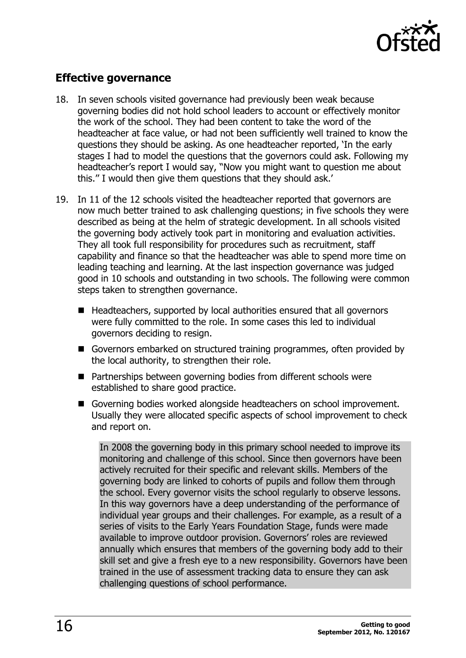

## <span id="page-15-0"></span>**Effective governance**

- 18. In seven schools visited governance had previously been weak because governing bodies did not hold school leaders to account or effectively monitor the work of the school. They had been content to take the word of the headteacher at face value, or had not been sufficiently well trained to know the questions they should be asking. As one headteacher reported, 'In the early stages I had to model the questions that the governors could ask. Following my headteacher's report I would say, ''Now you might want to question me about this.'' I would then give them questions that they should ask.'
- 19. In 11 of the 12 schools visited the headteacher reported that governors are now much better trained to ask challenging questions; in five schools they were described as being at the helm of strategic development. In all schools visited the governing body actively took part in monitoring and evaluation activities. They all took full responsibility for procedures such as recruitment, staff capability and finance so that the headteacher was able to spend more time on leading teaching and learning. At the last inspection governance was judged good in 10 schools and outstanding in two schools. The following were common steps taken to strengthen governance.
	- $\blacksquare$  Headteachers, supported by local authorities ensured that all governors were fully committed to the role. In some cases this led to individual governors deciding to resign.
	- Governors embarked on structured training programmes, often provided by the local authority, to strengthen their role.
	- Partnerships between governing bodies from different schools were established to share good practice.
	- Governing bodies worked alongside headteachers on school improvement. Usually they were allocated specific aspects of school improvement to check and report on.

In 2008 the governing body in this primary school needed to improve its monitoring and challenge of this school. Since then governors have been actively recruited for their specific and relevant skills. Members of the governing body are linked to cohorts of pupils and follow them through the school. Every governor visits the school regularly to observe lessons. In this way governors have a deep understanding of the performance of individual year groups and their challenges. For example, as a result of a series of visits to the Early Years Foundation Stage, funds were made available to improve outdoor provision. Governors' roles are reviewed annually which ensures that members of the governing body add to their skill set and give a fresh eye to a new responsibility. Governors have been trained in the use of assessment tracking data to ensure they can ask challenging questions of school performance.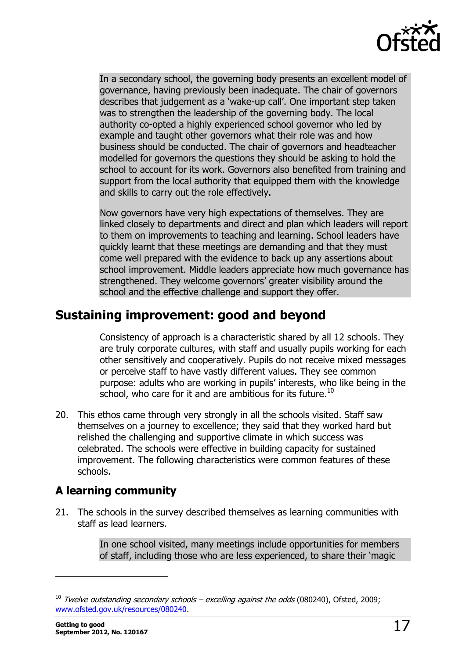

In a secondary school, the governing body presents an excellent model of governance, having previously been inadequate. The chair of governors describes that judgement as a 'wake-up call'. One important step taken was to strengthen the leadership of the governing body. The local authority co-opted a highly experienced school governor who led by example and taught other governors what their role was and how business should be conducted. The chair of governors and headteacher modelled for governors the questions they should be asking to hold the school to account for its work. Governors also benefited from training and support from the local authority that equipped them with the knowledge and skills to carry out the role effectively.

Now governors have very high expectations of themselves. They are linked closely to departments and direct and plan which leaders will report to them on improvements to teaching and learning. School leaders have quickly learnt that these meetings are demanding and that they must come well prepared with the evidence to back up any assertions about school improvement. Middle leaders appreciate how much governance has strengthened. They welcome governors' greater visibility around the school and the effective challenge and support they offer.

# <span id="page-16-0"></span>**Sustaining improvement: good and beyond**

Consistency of approach is a characteristic shared by all 12 schools. They are truly corporate cultures, with staff and usually pupils working for each other sensitively and cooperatively. Pupils do not receive mixed messages or perceive staff to have vastly different values. They see common purpose: adults who are working in pupils' interests, who like being in the school, who care for it and are ambitious for its future.<sup>10</sup>

20. This ethos came through very strongly in all the schools visited. Staff saw themselves on a journey to excellence; they said that they worked hard but relished the challenging and supportive climate in which success was celebrated. The schools were effective in building capacity for sustained improvement. The following characteristics were common features of these schools.

## <span id="page-16-1"></span>**A learning community**

21. The schools in the survey described themselves as learning communities with staff as lead learners.

> In one school visited, many meetings include opportunities for members of staff, including those who are less experienced, to share their 'magic

 $10$  Twelve outstanding secondary schools – excelling against the odds (080240), Ofsted, 2009; [www.ofsted.gov.uk/resources/080240.](http://www.ofsted.gov.uk/resources/080240)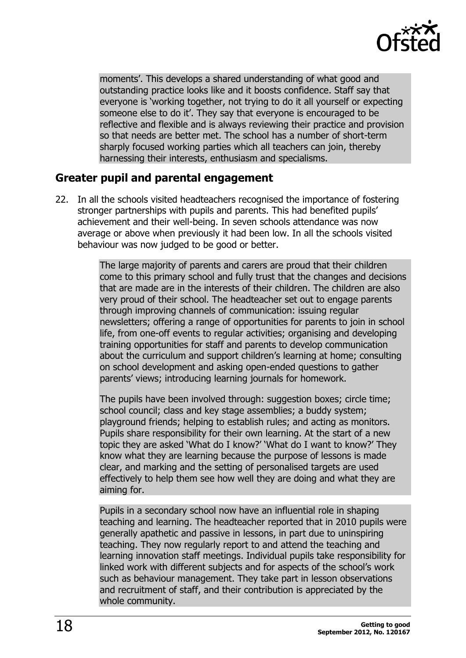

moments'. This develops a shared understanding of what good and outstanding practice looks like and it boosts confidence. Staff say that everyone is 'working together, not trying to do it all yourself or expecting someone else to do it'. They say that everyone is encouraged to be reflective and flexible and is always reviewing their practice and provision so that needs are better met. The school has a number of short-term sharply focused working parties which all teachers can join, thereby harnessing their interests, enthusiasm and specialisms.

#### <span id="page-17-0"></span>**Greater pupil and parental engagement**

22. In all the schools visited headteachers recognised the importance of fostering stronger partnerships with pupils and parents. This had benefited pupils' achievement and their well-being. In seven schools attendance was now average or above when previously it had been low. In all the schools visited behaviour was now judged to be good or better.

> The large majority of parents and carers are proud that their children come to this primary school and fully trust that the changes and decisions that are made are in the interests of their children. The children are also very proud of their school. The headteacher set out to engage parents through improving channels of communication: issuing regular newsletters; offering a range of opportunities for parents to join in school life, from one-off events to regular activities; organising and developing training opportunities for staff and parents to develop communication about the curriculum and support children's learning at home; consulting on school development and asking open-ended questions to gather parents' views; introducing learning journals for homework.

The pupils have been involved through: suggestion boxes; circle time; school council; class and key stage assemblies; a buddy system; playground friends; helping to establish rules; and acting as monitors. Pupils share responsibility for their own learning. At the start of a new topic they are asked 'What do I know?' 'What do I want to know?' They know what they are learning because the purpose of lessons is made clear, and marking and the setting of personalised targets are used effectively to help them see how well they are doing and what they are aiming for.

Pupils in a secondary school now have an influential role in shaping teaching and learning. The headteacher reported that in 2010 pupils were generally apathetic and passive in lessons, in part due to uninspiring teaching. They now regularly report to and attend the teaching and learning innovation staff meetings. Individual pupils take responsibility for linked work with different subjects and for aspects of the school's work such as behaviour management. They take part in lesson observations and recruitment of staff, and their contribution is appreciated by the whole community.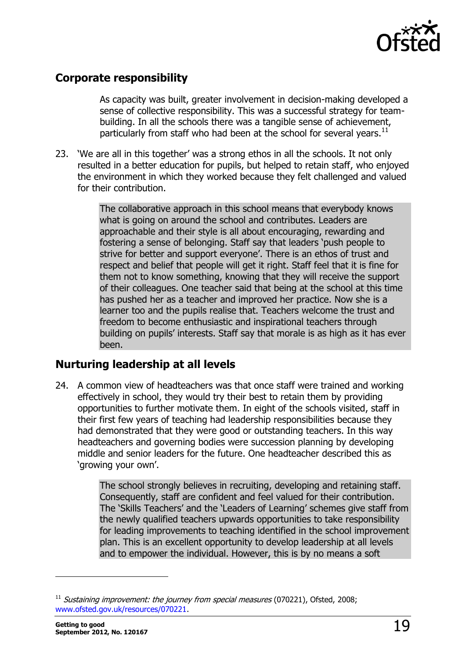

#### <span id="page-18-0"></span>**Corporate responsibility**

As capacity was built, greater involvement in decision-making developed a sense of collective responsibility. This was a successful strategy for teambuilding. In all the schools there was a tangible sense of achievement, particularly from staff who had been at the school for several years.<sup>11</sup>

23. 'We are all in this together' was a strong ethos in all the schools. It not only resulted in a better education for pupils, but helped to retain staff, who enjoyed the environment in which they worked because they felt challenged and valued for their contribution.

> The collaborative approach in this school means that everybody knows what is going on around the school and contributes. Leaders are approachable and their style is all about encouraging, rewarding and fostering a sense of belonging. Staff say that leaders 'push people to strive for better and support everyone'. There is an ethos of trust and respect and belief that people will get it right. Staff feel that it is fine for them not to know something, knowing that they will receive the support of their colleagues. One teacher said that being at the school at this time has pushed her as a teacher and improved her practice. Now she is a learner too and the pupils realise that. Teachers welcome the trust and freedom to become enthusiastic and inspirational teachers through building on pupils' interests. Staff say that morale is as high as it has ever been.

#### <span id="page-18-1"></span>**Nurturing leadership at all levels**

24. A common view of headteachers was that once staff were trained and working effectively in school, they would try their best to retain them by providing opportunities to further motivate them. In eight of the schools visited, staff in their first few years of teaching had leadership responsibilities because they had demonstrated that they were good or outstanding teachers. In this way headteachers and governing bodies were succession planning by developing middle and senior leaders for the future. One headteacher described this as 'growing your own'.

> The school strongly believes in recruiting, developing and retaining staff. Consequently, staff are confident and feel valued for their contribution. The 'Skills Teachers' and the 'Leaders of Learning' schemes give staff from the newly qualified teachers upwards opportunities to take responsibility for leading improvements to teaching identified in the school improvement plan. This is an excellent opportunity to develop leadership at all levels and to empower the individual. However, this is by no means a soft

 $11$  Sustaining improvement: the journey from special measures (070221), Ofsted, 2008; [www.ofsted.gov.uk/resources/070221.](http://www.ofsted.gov.uk/resources/070221)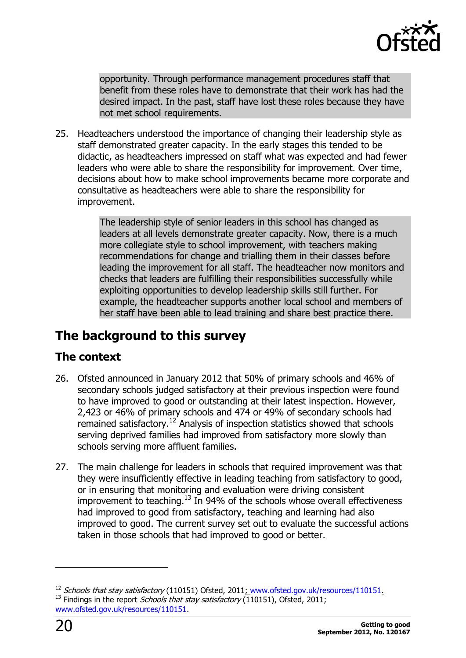

opportunity. Through performance management procedures staff that benefit from these roles have to demonstrate that their work has had the desired impact. In the past, staff have lost these roles because they have not met school requirements.

25. Headteachers understood the importance of changing their leadership style as staff demonstrated greater capacity. In the early stages this tended to be didactic, as headteachers impressed on staff what was expected and had fewer leaders who were able to share the responsibility for improvement. Over time, decisions about how to make school improvements became more corporate and consultative as headteachers were able to share the responsibility for improvement.

> The leadership style of senior leaders in this school has changed as leaders at all levels demonstrate greater capacity. Now, there is a much more collegiate style to school improvement, with teachers making recommendations for change and trialling them in their classes before leading the improvement for all staff. The headteacher now monitors and checks that leaders are fulfilling their responsibilities successfully while exploiting opportunities to develop leadership skills still further. For example, the headteacher supports another local school and members of her staff have been able to lead training and share best practice there.

# <span id="page-19-0"></span>**The background to this survey**

## <span id="page-19-1"></span>**The context**

- 26. Ofsted announced in January 2012 that 50% of primary schools and 46% of secondary schools judged satisfactory at their previous inspection were found to have improved to good or outstanding at their latest inspection. However, 2,423 or 46% of primary schools and 474 or 49% of secondary schools had remained satisfactory.<sup>12</sup> Analysis of inspection statistics showed that schools serving deprived families had improved from satisfactory more slowly than schools serving more affluent families.
- 27. The main challenge for leaders in schools that required improvement was that they were insufficiently effective in leading teaching from satisfactory to good, or in ensuring that monitoring and evaluation were driving consistent improvement to teaching. $^{13}$  In 94% of the schools whose overall effectiveness had improved to good from satisfactory, teaching and learning had also improved to good. The current survey set out to evaluate the successful actions taken in those schools that had improved to good or better.

-

 $12$  Schools that stay satisfactory (110151) Ofsted, 2011; [www.ofsted.gov.uk/resources/110151.](http://www.ofsted.gov.uk/resources/110151) <sup>13</sup> Findings in the report *Schools that stay satisfactory* (110151), Ofsted, 2011; [www.ofsted.gov.uk/resources/110151.](http://www.ofsted.gov.uk/resources/110151)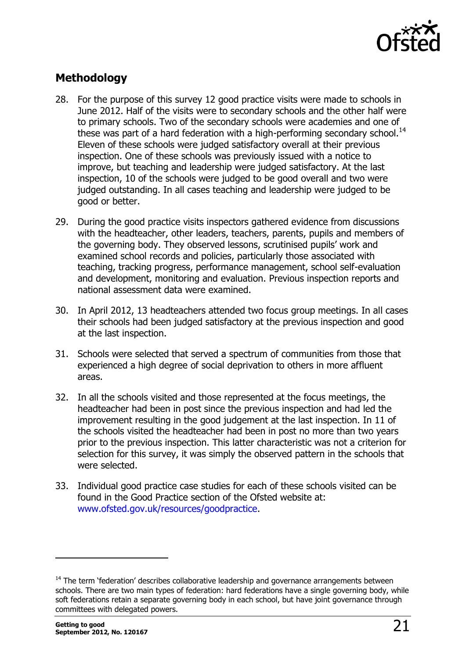

## <span id="page-20-0"></span>**Methodology**

- 28. For the purpose of this survey 12 good practice visits were made to schools in June 2012. Half of the visits were to secondary schools and the other half were to primary schools. Two of the secondary schools were academies and one of these was part of a hard federation with a high-performing secondary school.<sup>14</sup> Eleven of these schools were judged satisfactory overall at their previous inspection. One of these schools was previously issued with a notice to improve, but teaching and leadership were judged satisfactory. At the last inspection, 10 of the schools were judged to be good overall and two were judged outstanding. In all cases teaching and leadership were judged to be good or better.
- 29. During the good practice visits inspectors gathered evidence from discussions with the headteacher, other leaders, teachers, parents, pupils and members of the governing body. They observed lessons, scrutinised pupils' work and examined school records and policies, particularly those associated with teaching, tracking progress, performance management, school self-evaluation and development, monitoring and evaluation. Previous inspection reports and national assessment data were examined.
- 30. In April 2012, 13 headteachers attended two focus group meetings. In all cases their schools had been judged satisfactory at the previous inspection and good at the last inspection.
- 31. Schools were selected that served a spectrum of communities from those that experienced a high degree of social deprivation to others in more affluent areas.
- 32. In all the schools visited and those represented at the focus meetings, the headteacher had been in post since the previous inspection and had led the improvement resulting in the good judgement at the last inspection. In 11 of the schools visited the headteacher had been in post no more than two years prior to the previous inspection. This latter characteristic was not a criterion for selection for this survey, it was simply the observed pattern in the schools that were selected.
- 33. Individual good practice case studies for each of these schools visited can be found in the Good Practice section of the Ofsted website at: [www.ofsted.gov.uk/resources/goodpractice.](http://www.ofsted.gov.uk/resources/goodpractice)

-

 $14$  The term 'federation' describes collaborative leadership and governance arrangements between schools. There are two main types of federation: hard federations have a single governing body, while soft federations retain a separate governing body in each school, but have joint governance through committees with delegated powers.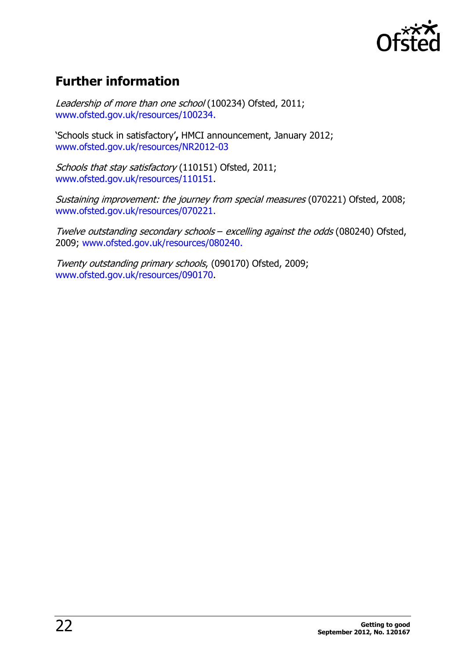

# <span id="page-21-0"></span>**Further information**

Leadership of more than one school (100234) Ofsted, 2011; [www.ofsted.gov.uk/resources/100234.](http://www.ofsted.gov.uk/resources/100234)

'Schools stuck in satisfactory'**,** HMCI announcement, January 2012; [www.ofsted.gov.uk/resources/NR2012-03](http://www.ofsted.gov.uk/resources/NR2012-03)

Schools that stay satisfactory (110151) Ofsted, 2011; [www.ofsted.gov.uk/resources/110151.](http://www.ofsted.gov.uk/resources/110151)

Sustaining improvement: the journey from special measures (070221) Ofsted, 2008; [www.ofsted.gov.uk/resources/070221.](http://www.ofsted.gov.uk/resources/070221)

Twelve outstanding secondary schools – excelling against the odds (080240) Ofsted, 2009; [www.ofsted.gov.uk/resources/080240.](http://www.ofsted.gov.uk/resources/080240)

Twenty outstanding primary schools, (090170) Ofsted, 2009; [www.ofsted.gov.uk/resources/090170.](http://www.ofsted.gov.uk/resources/090170)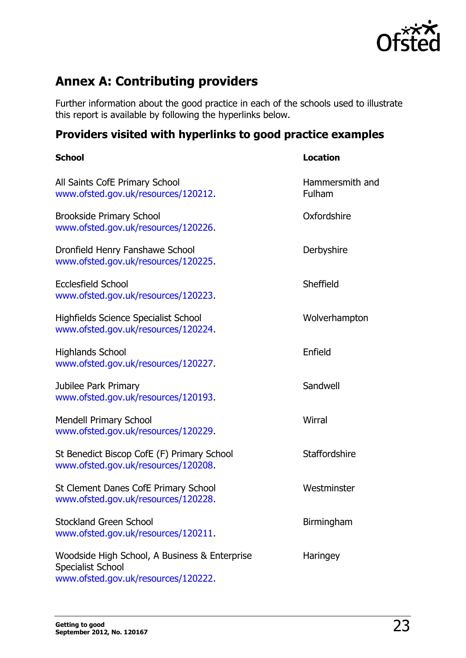

# <span id="page-22-0"></span>**Annex A: Contributing providers**

Further information about the good practice in each of the schools used to illustrate this report is available by following the hyperlinks below.

# <span id="page-22-1"></span>**Providers visited with hyperlinks to good practice examples**

| <b>School</b>                                                                                             | <b>Location</b>           |
|-----------------------------------------------------------------------------------------------------------|---------------------------|
| All Saints CofE Primary School<br>www.ofsted.gov.uk/resources/120212.                                     | Hammersmith and<br>Fulham |
| <b>Brookside Primary School</b><br>www.ofsted.gov.uk/resources/120226.                                    | Oxfordshire               |
| Dronfield Henry Fanshawe School<br>www.ofsted.gov.uk/resources/120225.                                    | Derbyshire                |
| <b>Ecclesfield School</b><br>www.ofsted.gov.uk/resources/120223.                                          | Sheffield                 |
| Highfields Science Specialist School<br>www.ofsted.gov.uk/resources/120224.                               | Wolverhampton             |
| <b>Highlands School</b><br>www.ofsted.gov.uk/resources/120227.                                            | Enfield                   |
| Jubilee Park Primary<br>www.ofsted.gov.uk/resources/120193.                                               | Sandwell                  |
| Mendell Primary School<br>www.ofsted.gov.uk/resources/120229.                                             | Wirral                    |
| St Benedict Biscop CofE (F) Primary School<br>www.ofsted.gov.uk/resources/120208.                         | <b>Staffordshire</b>      |
| St Clement Danes CofE Primary School<br>www.ofsted.gov.uk/resources/120228.                               | Westminster               |
| <b>Stockland Green School</b><br>www.ofsted.gov.uk/resources/120211.                                      | Birmingham                |
| Woodside High School, A Business & Enterprise<br>Specialist School<br>www.ofsted.gov.uk/resources/120222. | Haringey                  |